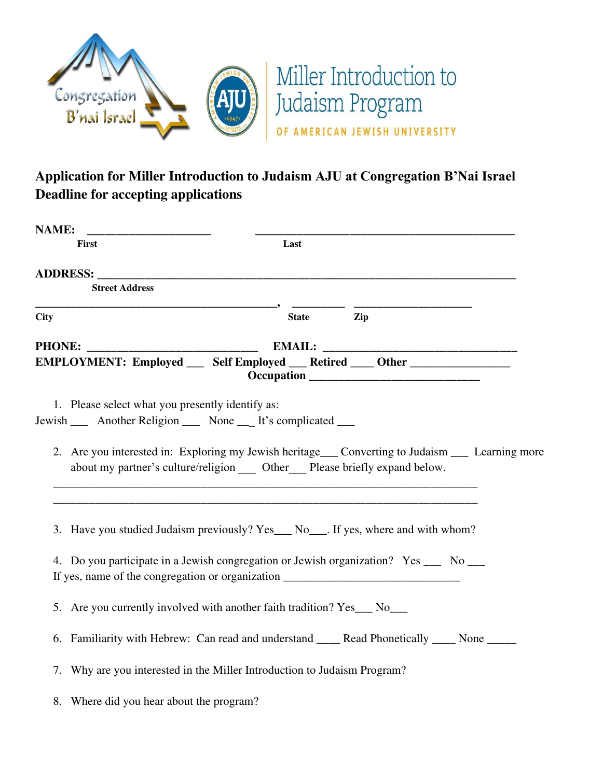

## **Application for Miller Introduction to Judaism AJU at Congregation B'Nai Israel Deadline for accepting applications**

| <b>NAME:</b>                                     |                                                                                                                                                                                                                                                                    |
|--------------------------------------------------|--------------------------------------------------------------------------------------------------------------------------------------------------------------------------------------------------------------------------------------------------------------------|
| <b>First</b>                                     | Last                                                                                                                                                                                                                                                               |
|                                                  | ADDRESS: the contract of the contract of the contract of the contract of the contract of the contract of the contract of the contract of the contract of the contract of the contract of the contract of the contract of the c                                     |
| <b>Street Address</b>                            |                                                                                                                                                                                                                                                                    |
| <b>City</b>                                      | Zip<br><b>State</b>                                                                                                                                                                                                                                                |
| <b>PHONE:</b>                                    |                                                                                                                                                                                                                                                                    |
|                                                  | EMPLOYMENT: Employed ____ Self Employed ___ Retired ____ Other _________________                                                                                                                                                                                   |
| 1. Please select what you presently identify as: | Jewish ______ Another Religion ______ None _____ It's complicated _____<br>2. Are you interested in: Exploring my Jewish heritage___ Converting to Judaism ___ Learning more<br>about my partner's culture/religion _____ Other _____ Please briefly expand below. |
|                                                  | 3. Have you studied Judaism previously? Yes___ No___. If yes, where and with whom?                                                                                                                                                                                 |
|                                                  | 4. Do you participate in a Jewish congregation or Jewish organization? Yes __ No __<br>If yes, name of the congregation or organization _______________________________                                                                                            |
|                                                  | 5. Are you currently involved with another faith tradition? Yes___ No___                                                                                                                                                                                           |
|                                                  | 6. Familiarity with Hebrew: Can read and understand ______ Read Phonetically _____ None ______                                                                                                                                                                     |
|                                                  | 7. Why are you interested in the Miller Introduction to Judaism Program?                                                                                                                                                                                           |
| 8. Where did you hear about the program?         |                                                                                                                                                                                                                                                                    |